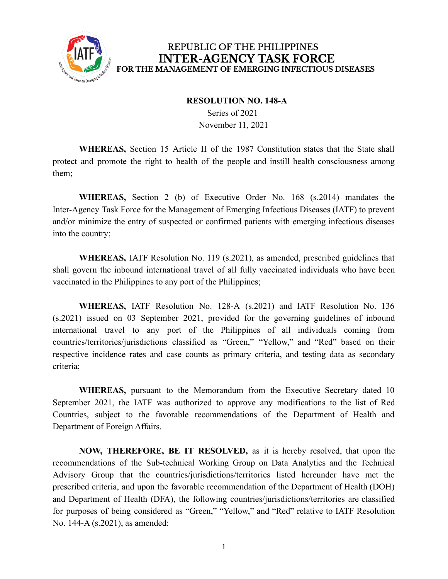

#### **RESOLUTION NO. 148-A**

Series of 2021 November 11, 2021

**WHEREAS,** Section 15 Article II of the 1987 Constitution states that the State shall protect and promote the right to health of the people and instill health consciousness among them;

**WHEREAS,** Section 2 (b) of Executive Order No. 168 (s.2014) mandates the Inter-Agency Task Force for the Management of Emerging Infectious Diseases (IATF) to prevent and/or minimize the entry of suspected or confirmed patients with emerging infectious diseases into the country;

**WHEREAS,** IATF Resolution No. 119 (s.2021), as amended, prescribed guidelines that shall govern the inbound international travel of all fully vaccinated individuals who have been vaccinated in the Philippines to any port of the Philippines;

**WHEREAS,** IATF Resolution No. 128-A (s.2021) and IATF Resolution No. 136 (s.2021) issued on 03 September 2021, provided for the governing guidelines of inbound international travel to any port of the Philippines of all individuals coming from countries/territories/jurisdictions classified as "Green," "Yellow," and "Red" based on their respective incidence rates and case counts as primary criteria, and testing data as secondary criteria;

**WHEREAS,** pursuant to the Memorandum from the Executive Secretary dated 10 September 2021, the IATF was authorized to approve any modifications to the list of Red Countries, subject to the favorable recommendations of the Department of Health and Department of Foreign Affairs.

**NOW, THEREFORE, BE IT RESOLVED,** as it is hereby resolved, that upon the recommendations of the Sub-technical Working Group on Data Analytics and the Technical Advisory Group that the countries/jurisdictions/territories listed hereunder have met the prescribed criteria, and upon the favorable recommendation of the Department of Health (DOH) and Department of Health (DFA), the following countries/jurisdictions/territories are classified for purposes of being considered as "Green," "Yellow," and "Red" relative to IATF Resolution No. 144-A (s.2021), as amended: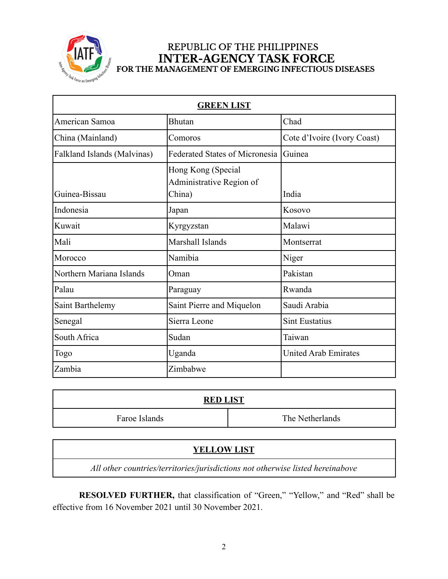

| <b>GREEN LIST</b>                  |                                                          |                             |
|------------------------------------|----------------------------------------------------------|-----------------------------|
| American Samoa                     | <b>Bhutan</b>                                            | Chad                        |
| China (Mainland)                   | Comoros                                                  | Cote d'Ivoire (Ivory Coast) |
| <b>Falkland Islands (Malvinas)</b> | <b>Federated States of Micronesia</b>                    | Guinea                      |
| Guinea-Bissau                      | Hong Kong (Special<br>Administrative Region of<br>China) | India                       |
| Indonesia                          | Japan                                                    | Kosovo                      |
| Kuwait                             | Kyrgyzstan                                               | Malawi                      |
| Mali                               | Marshall Islands                                         | Montserrat                  |
| Morocco                            | Namibia                                                  | Niger                       |
| Northern Mariana Islands           | Oman                                                     | Pakistan                    |
| Palau                              | Paraguay                                                 | Rwanda                      |
| Saint Barthelemy                   | Saint Pierre and Miquelon                                | Saudi Arabia                |
| Senegal                            | Sierra Leone                                             | <b>Sint Eustatius</b>       |
| South Africa                       | Sudan                                                    | Taiwan                      |
| Togo                               | Uganda                                                   | <b>United Arab Emirates</b> |
| Zambia                             | Zimbabwe                                                 |                             |

| <b>RED LIST</b> |                 |  |  |
|-----------------|-----------------|--|--|
| Faroe Islands   | The Netherlands |  |  |

### **YELLOW LIST**

*All other countries/territories/jurisdictions not otherwise listed hereinabove*

**RESOLVED FURTHER,** that classification of "Green," "Yellow," and "Red" shall be effective from 16 November 2021 until 30 November 2021.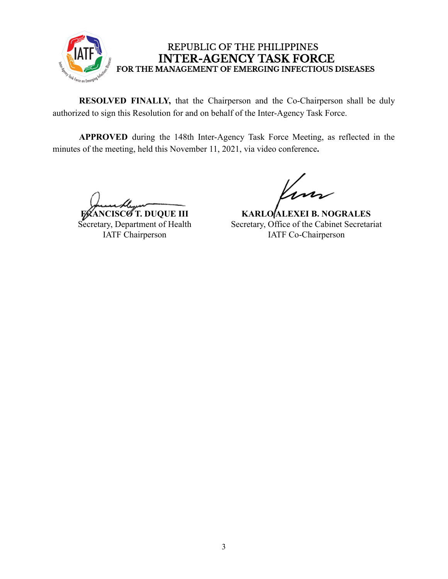

**RESOLVED FINALLY,** that the Chairperson and the Co-Chairperson shall be duly authorized to sign this Resolution for and on behalf of the Inter-Agency Task Force.

**APPROVED** during the 148th Inter-Agency Task Force Meeting, as reflected in the minutes of the meeting, held this November 11, 2021, via video conference**.**

**FRANCISCO T. DUQUE III** Secretary, Department of Health IATF Chairperson

**KARLO ALEXEI B. NOGRALES** Secretary, Office of the Cabinet Secretariat IATF Co-Chairperson